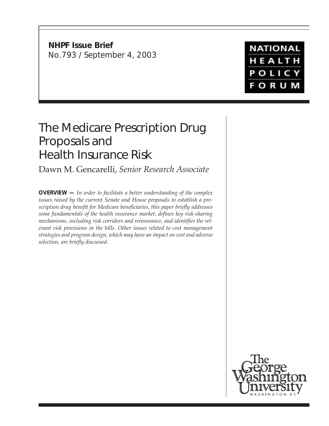**NHPF Issue Brief** No.793 / September 4, 2003

## **NATIONAL** HEALTH POLICY **FORUM**

# The Medicare Prescription Drug Proposals and Health Insurance Risk

Dawn M. Gencarelli, *Senior Research Associate*

**OVERVIEW —** *In order to facilitate a better understanding of the complex issues raised by the current Senate and House proposals to establish a prescription drug benefit for Medicare beneficiaries, this paper briefly addresses some fundamentals of the health insurance market, defines key risk-sharing mechanisms, including risk corridors and reinsurance, and identifies the relevant risk provisions in the bills. Other issues related to cost management strategies and program design, which may have an impact on cost and adverse selection, are briefly discussed.*

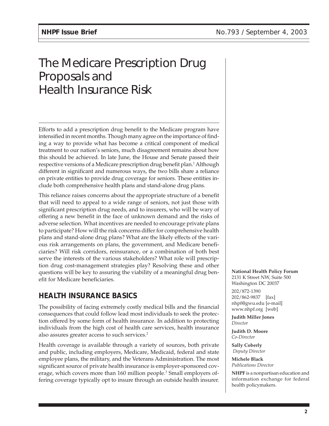## The Medicare Prescription Drug Proposals and Health Insurance Risk

Efforts to add a prescription drug benefit to the Medicare program have intensified in recent months. Though many agree on the importance of finding a way to provide what has become a critical component of medical treatment to our nation's seniors, much disagreement remains about how this should be achieved. In late June, the House and Senate passed their respective versions of a Medicare prescription drug benefit plan.<sup>1</sup> Although different in significant and numerous ways, the two bills share a reliance on private entities to provide drug coverage for seniors. These entities include both comprehensive health plans and stand-alone drug plans.

This reliance raises concerns about the appropriate structure of a benefit that will need to appeal to a wide range of seniors, not just those with significant prescription drug needs, and to insurers, who will be wary of offering a new benefit in the face of unknown demand and the risks of adverse selection. What incentives are needed to encourage private plans to participate? How will the risk concerns differ for comprehensive health plans and stand-alone drug plans? What are the likely effects of the various risk arrangements on plans, the government, and Medicare beneficiaries? Will risk corridors, reinsurance, or a combination of both best serve the interests of the various stakeholders? What role will prescription drug cost-management strategies play? Resolving these and other questions will be key to assuring the viability of a meaningful drug benefit for Medicare beneficiaries.

## **HEALTH INSURANCE BASICS**

The possibility of facing extremely costly medical bills and the financial consequences that could follow lead most individuals to seek the protection offered by some form of health insurance. In addition to protecting individuals from the high cost of health care services, health insurance also assures greater access to such services.2

Health coverage is available through a variety of sources, both private and public, including employers, Medicare, Medicaid, federal and state employee plans, the military, and the Veterans Administration. The most significant source of private health insurance is employer-sponsored coverage, which covers more than 160 million people.<sup>3</sup> Small employers offering coverage typically opt to insure through an outside health insurer. **National Health Policy Forum**

2131 K Street NW, Suite 500 Washington DC 20037

202/872-1390 202/862-9837 [fax] nhpf@gwu.edu [e-mail] www.nhpf.org [web]

**Judith Miller Jones** *Director*

**Judith D. Moore** *Co-Director*

**Sally Coberly**  *Deputy Director*

**Michele Black** *Publications Director*

**NHPF** is a nonpartisan education and information exchange for federal health policymakers.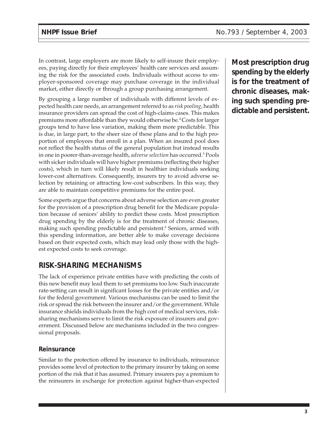In contrast, large employers are more likely to self-insure their employees, paying directly for their employees' health care services and assuming the risk for the associated costs. Individuals without access to employer-sponsored coverage may purchase coverage in the individual market, either directly or through a group purchasing arrangement.

By grouping a large number of individuals with different levels of expected health care needs, an arrangement referred to as *risk pooling*, health insurance providers can spread the cost of high-claims cases. This makes premiums more affordable than they would otherwise be.4 Costs for larger groups tend to have less variation, making them more predictable. This is due, in large part, to the sheer size of these plans and to the high proportion of employees that enroll in a plan. When an insured pool does not reflect the health status of the general population but instead results in one in poorer-than-average health*, adverse selection* has occurred.<sup>5</sup> Pools with sicker individuals will have higher premiums (reflecting their higher costs), which in turn will likely result in healthier individuals seeking lower-cost alternatives. Consequently, insurers try to avoid adverse selection by retaining or attracting low-cost subscribers. In this way, they are able to maintain competitive premiums for the entire pool.

Some experts argue that concerns about adverse selection are even greater for the provision of a prescription drug benefit for the Medicare population because of seniors' ability to predict these costs. Most prescription drug spending by the elderly is for the treatment of chronic diseases, making such spending predictable and persistent.<sup>6</sup> Seniors, armed with this spending information, are better able to make coverage decisions based on their expected costs, which may lead only those with the highest expected costs to seek coverage.

## **RISK-SHARING MECHANISMS**

The lack of experience private entities have with predicting the costs of this new benefit may lead them to set premiums too low. Such inaccurate rate-setting can result in significant losses for the private entities and/or for the federal government. Various mechanisms can be used to limit the risk or spread the risk between the insurer and/or the government. While insurance shields individuals from the high cost of medical services, risksharing mechanisms serve to limit the risk exposure of insurers and government. Discussed below are mechanisms included in the two congressional proposals.

#### **Reinsurance**

Similar to the protection offered by insurance to individuals, reinsurance provides some level of protection to the primary insurer by taking on some portion of the risk that it has assumed. Primary insurers pay a premium to the reinsurers in exchange for protection against higher-than-expected

**Most prescription drug spending by the elderly is for the treatment of chronic diseases, making such spending predictable and persistent.**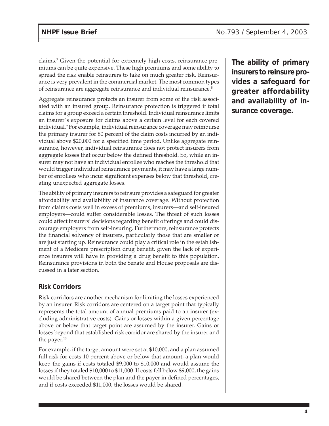claims.7 Given the potential for extremely high costs, reinsurance premiums can be quite expensive. These high premiums and some ability to spread the risk enable reinsurers to take on much greater risk. Reinsurance is very prevalent in the commercial market. The most common types of reinsurance are aggregate reinsurance and individual reinsurance.<sup>8</sup>

Aggregate reinsurance protects an insurer from some of the risk associated with an insured group. Reinsurance protection is triggered if total claims for a group exceed a certain threshold. Individual reinsurance limits an insurer's exposure for claims above a certain level for each covered individual.<sup>9</sup> For example, individual reinsurance coverage may reimburse the primary insurer for 80 percent of the claim costs incurred by an individual above \$20,000 for a specified time period. Unlike aggregate reinsurance, however, individual reinsurance does not protect insurers from aggregate losses that occur below the defined threshold. So, while an insurer may not have an individual enrollee who reaches the threshold that would trigger individual reinsurance payments, it may have a large number of enrollees who incur significant expenses below that threshold, creating unexpected aggregate losses.

The ability of primary insurers to reinsure provides a safeguard for greater affordability and availability of insurance coverage. Without protection from claims costs well in excess of premiums, insurers—and self-insured employers—could suffer considerable losses. The threat of such losses could affect insurers' decisions regarding benefit offerings and could discourage employers from self-insuring. Furthermore, reinsurance protects the financial solvency of insurers, particularly those that are smaller or are just starting up. Reinsurance could play a critical role in the establishment of a Medicare prescription drug benefit, given the lack of experience insurers will have in providing a drug benefit to this population. Reinsurance provisions in both the Senate and House proposals are discussed in a later section.

#### **Risk Corridors**

Risk corridors are another mechanism for limiting the losses experienced by an insurer. Risk corridors are centered on a target point that typically represents the total amount of annual premiums paid to an insurer (excluding administrative costs). Gains or losses within a given percentage above or below that target point are assumed by the insurer. Gains or losses beyond that established risk corridor are shared by the insurer and the payer.<sup>10</sup>

For example, if the target amount were set at \$10,000, and a plan assumed full risk for costs 10 percent above or below that amount, a plan would keep the gains if costs totaled \$9,000 to \$10,000 and would assume the losses if they totaled \$10,000 to \$11,000. If costs fell below \$9,000, the gains would be shared between the plan and the payer in defined percentages, and if costs exceeded \$11,000, the losses would be shared.

**The ability of primary insurers to reinsure provides a safeguard for greater affordability and availability of insurance coverage.**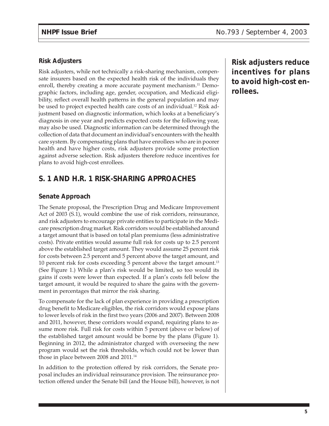#### **Risk Adjusters**

Risk adjusters, while not technically a risk-sharing mechanism, compensate insurers based on the expected health risk of the individuals they enroll, thereby creating a more accurate payment mechanism.<sup>11</sup> Demographic factors, including age, gender, occupation, and Medicaid eligibility, reflect overall health patterns in the general population and may be used to project expected health care costs of an individual.<sup>12</sup> Risk adjustment based on diagnostic information, which looks at a beneficiary's diagnosis in one year and predicts expected costs for the following year, may also be used. Diagnostic information can be determined through the collection of data that document an individual's encounters with the health care system. By compensating plans that have enrollees who are in poorer health and have higher costs, risk adjusters provide some protection against adverse selection. Risk adjusters therefore reduce incentives for plans to avoid high-cost enrollees.

## **S. 1 AND H.R. 1 RISK-SHARING APPROACHES**

#### **Senate Approach**

The Senate proposal, the Prescription Drug and Medicare Improvement Act of 2003 (S.1), would combine the use of risk corridors, reinsurance, and risk adjusters to encourage private entities to participate in the Medicare prescription drug market. Risk corridors would be established around a target amount that is based on total plan premiums (less administrative costs). Private entities would assume full risk for costs up to 2.5 percent above the established target amount. They would assume 25 percent risk for costs between 2.5 percent and 5 percent above the target amount, and 10 percent risk for costs exceeding 5 percent above the target amount.13 (See Figure 1.) While a plan's risk would be limited, so too would its gains if costs were lower than expected. If a plan's costs fell below the target amount, it would be required to share the gains with the government in percentages that mirror the risk sharing.

To compensate for the lack of plan experience in providing a prescription drug benefit to Medicare eligibles, the risk corridors would expose plans to lower levels of risk in the first two years (2006 and 2007). Between 2008 and 2011, however, these corridors would expand, requiring plans to assume more risk. Full risk for costs within 5 percent (above or below) of the established target amount would be borne by the plans (Figure 1). Beginning in 2012, the administrator charged with overseeing the new program would set the risk thresholds, which could not be lower than those in place between 2008 and 2011.<sup>14</sup>

In addition to the protection offered by risk corridors, the Senate proposal includes an individual reinsurance provision. The reinsurance protection offered under the Senate bill (and the House bill), however, is not **Risk adjusters reduce incentives for plans to avoid high-cost enrollees.**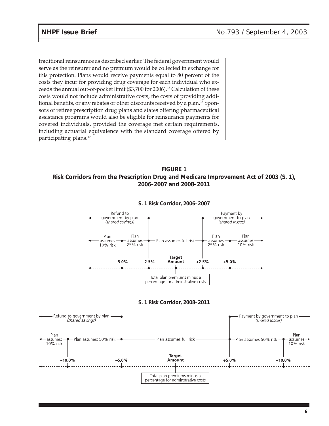traditional reinsurance as described earlier. The federal government would serve as the reinsurer and no premium would be collected in exchange for this protection. Plans would receive payments equal to 80 percent of the costs they incur for providing drug coverage for each individual who exceeds the annual out-of-pocket limit (\$3,700 for 2006).15 Calculation of these costs would not include administrative costs, the costs of providing additional benefits, or any rebates or other discounts received by a plan.<sup>16</sup> Sponsors of retiree prescription drug plans and states offering pharmaceutical assistance programs would also be eligible for reinsurance payments for covered individuals, provided the coverage met certain requirements, including actuarial equivalence with the standard coverage offered by participating plans.<sup>17</sup>

#### **FIGURE 1 Risk Corridors from the Prescription Drug and Medicare Improvement Act of 2003 (S. 1), 2006–2007 and 2008–2011**



#### **S. 1 Risk Corridor, 2006–2007**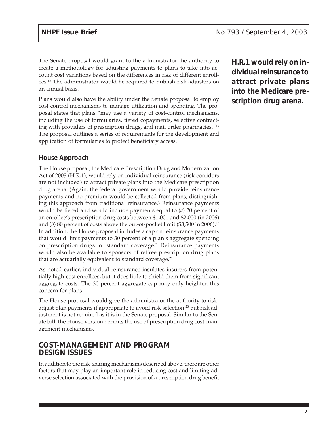The Senate proposal would grant to the administrator the authority to create a methodology for adjusting payments to plans to take into account cost variations based on the differences in risk of different enrollees.18 The administrator would be required to publish risk adjusters on an annual basis.

Plans would also have the ability under the Senate proposal to employ cost-control mechanisms to manage utilization and spending. The proposal states that plans "may use a variety of cost-control mechanisms, including the use of formularies, tiered copayments, selective contracting with providers of prescription drugs, and mail order pharmacies."19 The proposal outlines a series of requirements for the development and application of formularies to protect beneficiary access.

### **House Approach**

The House proposal, the Medicare Prescription Drug and Modernization Act of 2003 (H.R.1), would rely on individual reinsurance (risk corridors are not included) to attract private plans into the Medicare prescription drug arena. (Again, the federal government would provide reinsurance payments and no premium would be collected from plans, distinguishing this approach from traditional reinsurance.) Reinsurance payments would be tiered and would include payments equal to (*a*) 20 percent of an enrollee's prescription drug costs between \$1,001 and \$2,000 (in 2006) and (*b*) 80 percent of costs above the out-of-pocket limit (\$3,500 in 2006).<sup>20</sup> In addition, the House proposal includes a cap on reinsurance payments that would limit payments to 30 percent of a plan's aggregate spending on prescription drugs for standard coverage.<sup>21</sup> Reinsurance payments would also be available to sponsors of retiree prescription drug plans that are actuarially equivalent to standard coverage.<sup>22</sup>

As noted earlier, individual reinsurance insulates insurers from potentially high-cost enrollees, but it does little to shield them from significant aggregate costs. The 30 percent aggregate cap may only heighten this concern for plans.

The House proposal would give the administrator the authority to riskadjust plan payments if appropriate to avoid risk selection,<sup>23</sup> but risk adjustment is not required as it is in the Senate proposal. Similar to the Senate bill, the House version permits the use of prescription drug cost-management mechanisms.

### **COST-MANAGEMENT AND PROGRAM DESIGN ISSUES**

In addition to the risk-sharing mechanisms described above, there are other factors that may play an important role in reducing cost and limiting adverse selection associated with the provision of a prescription drug benefit **H.R.1 would rely on individual reinsurance to attract private plans into the Medicare prescription drug arena.**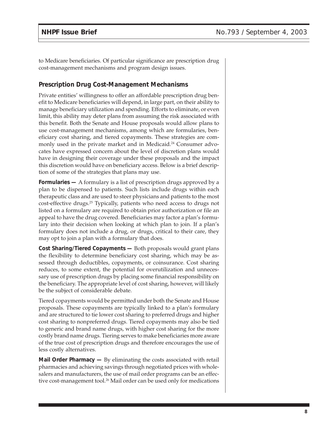to Medicare beneficiaries. Of particular significance are prescription drug cost-management mechanisms and program design issues.

#### **Prescription Drug Cost-Management Mechanisms**

Private entities' willingness to offer an affordable prescription drug benefit to Medicare beneficiaries will depend, in large part, on their ability to manage beneficiary utilization and spending. Efforts to eliminate, or even limit, this ability may deter plans from assuming the risk associated with this benefit. Both the Senate and House proposals would allow plans to use cost-management mechanisms, among which are formularies, beneficiary cost sharing, and tiered copayments. These strategies are commonly used in the private market and in Medicaid.<sup>24</sup> Consumer advocates have expressed concern about the level of discretion plans would have in designing their coverage under these proposals and the impact this discretion would have on beneficiary access. Below is a brief description of some of the strategies that plans may use.

**Formularies —** A formulary is a list of prescription drugs approved by a plan to be dispensed to patients. Such lists include drugs within each therapeutic class and are used to steer physicians and patients to the most cost-effective drugs.<sup>25</sup> Typically, patients who need access to drugs not listed on a formulary are required to obtain prior authorization or file an appeal to have the drug covered. Beneficiaries may factor a plan's formulary into their decision when looking at which plan to join. If a plan's formulary does not include a drug, or drugs, critical to their care, they may opt to join a plan with a formulary that does.

**Cost Sharing/Tiered Copayments —** Both proposals would grant plans the flexibility to determine beneficiary cost sharing, which may be assessed through deductibles, copayments, or coinsurance. Cost sharing reduces, to some extent, the potential for overutilization and unnecessary use of prescription drugs by placing some financial responsibility on the beneficiary. The appropriate level of cost sharing, however, will likely be the subject of considerable debate.

Tiered copayments would be permitted under both the Senate and House proposals. These copayments are typically linked to a plan's formulary and are structured to tie lower cost sharing to preferred drugs and higher cost sharing to nonpreferred drugs. Tiered copayments may also be tied to generic and brand name drugs, with higher cost sharing for the more costly brand name drugs. Tiering serves to make beneficiaries more aware of the true cost of prescription drugs and therefore encourages the use of less costly alternatives.

**Mail Order Pharmacy —** By eliminating the costs associated with retail pharmacies and achieving savings through negotiated prices with wholesalers and manufacturers, the use of mail order programs can be an effective cost-management tool.<sup>26</sup> Mail order can be used only for medications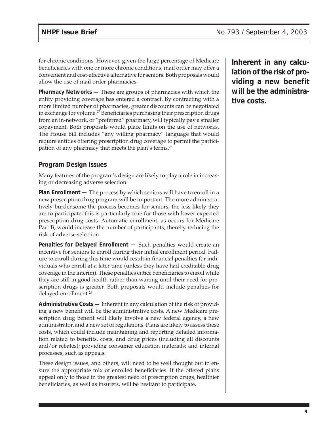for chronic conditions. However, given the large percentage of Medicare beneficiaries with one or more chronic conditions, mail order may offer a convenient and cost-effective alternative for seniors. Both proposals would allow the use of mail order pharmacies.

**Pharmacy Networks —** These are groups of pharmacies with which the entity providing coverage has entered a contract. By contracting with a more limited number of pharmacies, greater discounts can be negotiated in exchange for volume.<sup>27</sup> Beneficiaries purchasing their prescription drugs from an in-network, or "preferred" pharmacy, will typically pay a smaller copayment. Both proposals would place limits on the use of networks. The House bill includes "any willing pharmacy" language that would require entities offering prescription drug coverage to permit the participation of any pharmacy that meets the plan's terms.<sup>28</sup>

#### **Program Design Issues**

Many features of the program's design are likely to play a role in increasing or decreasing adverse selection.

**Plan Enrollment —** The process by which seniors will have to enroll in a new prescription drug program will be important. The more administratively burdensome the process becomes for seniors, the less likely they are to participate; this is particularly true for those with lower expected prescription drug costs. Automatic enrollment, as occurs for Medicare Part B, would increase the number of participants, thereby reducing the risk of adverse selection.

**Penalties for Delayed Enrollment —** Such penalties would create an incentive for seniors to enroll during their initial enrollment period. Failure to enroll during this time would result in financial penalties for individuals who enroll at a later time (unless they have had creditable drug coverage in the interim). These penalties entice beneficiaries to enroll while they are still in good health rather than waiting until their need for prescription drugs is greater. Both proposals would include penalties for delayed enrollment.29

**Administrative Costs —** Inherent in any calculation of the risk of providing a new benefit will be the administrative costs. A new Medicare prescription drug benefit will likely involve a new federal agency, a new administrator, and a new set of regulations. Plans are likely to assess these costs, which could include maintaining and reporting detailed information related to benefits, costs, and drug prices (including all discounts and/or rebates); providing consumer education materials; and internal processes, such as appeals.

These design issues, and others, will need to be well thought out to ensure the appropriate mix of enrolled beneficiaries. If the offered plans appeal only to those in the greatest need of prescription drugs, healthier beneficiaries, as well as insurers, will be hesitant to participate.

**Inherent in any calculation of the risk of providing a new benefit will be the administrative costs.**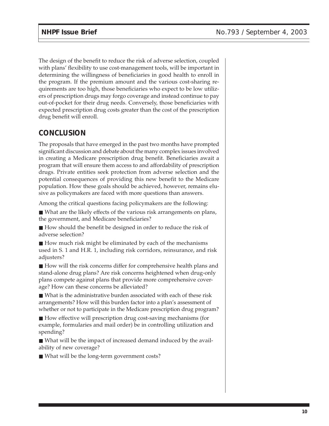The design of the benefit to reduce the risk of adverse selection, coupled with plans' flexibility to use cost-management tools, will be important in determining the willingness of beneficiaries in good health to enroll in the program. If the premium amount and the various cost-sharing requirements are too high, those beneficiaries who expect to be low utilizers of prescription drugs may forgo coverage and instead continue to pay out-of-pocket for their drug needs. Conversely, those beneficiaries with expected prescription drug costs greater than the cost of the prescription drug benefit will enroll.

### **CONCLUSION**

The proposals that have emerged in the past two months have prompted significant discussion and debate about the many complex issues involved in creating a Medicare prescription drug benefit. Beneficiaries await a program that will ensure them access to and affordability of prescription drugs. Private entities seek protection from adverse selection and the potential consequences of providing this new benefit to the Medicare population. How these goals should be achieved, however, remains elusive as policymakers are faced with more questions than answers.

Among the critical questions facing policymakers are the following:

■ What are the likely effects of the various risk arrangements on plans, the government, and Medicare beneficiaries?

■ How should the benefit be designed in order to reduce the risk of adverse selection?

■ How much risk might be eliminated by each of the mechanisms used in S. 1 and H.R. 1, including risk corridors, reinsurance, and risk adjusters?

■ How will the risk concerns differ for comprehensive health plans and stand-alone drug plans? Are risk concerns heightened when drug-only plans compete against plans that provide more comprehensive coverage? How can these concerns be alleviated?

■ What is the administrative burden associated with each of these risk arrangements? How will this burden factor into a plan's assessment of whether or not to participate in the Medicare prescription drug program?

■ How effective will prescription drug cost-saving mechanisms (for example, formularies and mail order) be in controlling utilization and spending?

■ What will be the impact of increased demand induced by the availability of new coverage?

■ What will be the long-term government costs?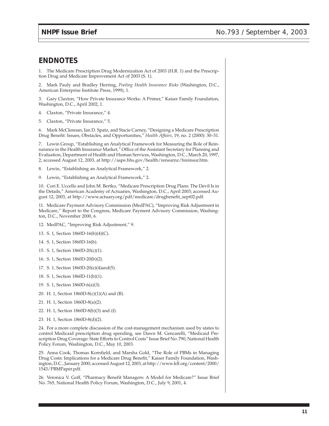#### **ENDNOTES**

1. The Medicare Prescription Drug Modernization Act of 2003 (H.R. 1) and the Prescription Drug and Medicare Improvement Act of 2003 (S. 1).

2. Mark Pauly and Bradley Herring, *Pooling Health Insurance Risks* (Washington, D.C., American Enterprise Institute Press, 1999), 1.

3. Gary Claxton, "How Private Insurance Works: A Primer," Kaiser Family Foundation, Washington, D.C., April 2002, 1.

- 4. Claxton, "Private Insurance," 4.
- 5. Claxton, "Private Insurance," 5.

6. Mark McClennan, Ian D. Spatz, and Stacie Carney, "Designing a Medicare Prescription Drug Benefit: Issues, Obstacles, and Opportunities," *Health Affairs*, 19, no. 2 (2000): 30–31.

7. Lewin Group, "Establishing an Analytical Framework for Measuring the Role of Reinsurance in the Health Insurance Market," Office of the Assistant Secretary for Planning and Evaluation, Department of Health and Human Services, Washington, D.C., March 20, 1997, 2; accessed August 12, 2003, at http://aspe.hhs.gov/health/rensurnz/hreinsur.htm.

8. Lewin, "Establishing an Analytical Framework," 2.

9. Lewin, "Establishing an Analytical Framework," 2.

10. Cori E. Uccello and John M. Bertko, "Medicare Prescription Drug Plans: The Devil Is in the Details," American Academy of Actuaries, Washington, D.C., April 2003; accessed August 12, 2003, at http://www.actuary.org/pdf/medicare/drugbenefit\_sept02.pdf.

11. Medicare Payment Advisory Commission (MedPAC), "Improving Risk Adjustment in Medicare," Report to the Congress, Medicare Payment Advisory Commission, Washington, D.C., November 2000, 6.

- 12. MedPAC, "Improving Risk Adjustment," 9.
- 13. S. 1, Section 1860D-16(b)(4)(C).
- 14. S. 1, Section 1860D-16(b).
- 15. S. 1, Section 1860D-20(c)(1).
- 16. S. 1, Section 1860D-20(b)(2).
- 17. S. 1, Section 1860D-20(e)(4)and(5).
- 18. S. 1, Section 1860D-11(b)(1).
- 19. S. 1, Section 1860D-6(a)(3).
- 20. H. 1, Section 1860D-8(c)(1)(A) and (B).
- 21. H. 1, Section 1860D-8(a)(2).
- 22. H. 1, Section 1860D-8(b)(3) and (f).
- 23. H. 1, Section 1860D-8(d)(2).

24. For a more complete discussion of the cost-management mechanism used by states to control Medicaid prescription drug spending, see Dawn M. Gencarelli, "Medicaid Prescription Drug Coverage: State Efforts to Control Costs" Issue Brief No. 790, National Health Policy Forum, Washington, D.C., May 10, 2003.

25. Anna Cook, Thomas Kornfield, and Marsha Gold, "The Role of PBMs in Managing Drug Costs: Implications for a Medicare Drug Benefit," Kaiser Family Foundation, Washington, D.C., January 2000; accessed August 12, 2003, at http://www.kff.org/content/2000/ 1543/PBMPaper.pdf.

26. Veronica V. Goff, "Pharmacy Benefit Managers: A Model for Medicare?" Issue Brief No. 765, National Health Policy Forum, Washington, D.C., July 9, 2001, 4.